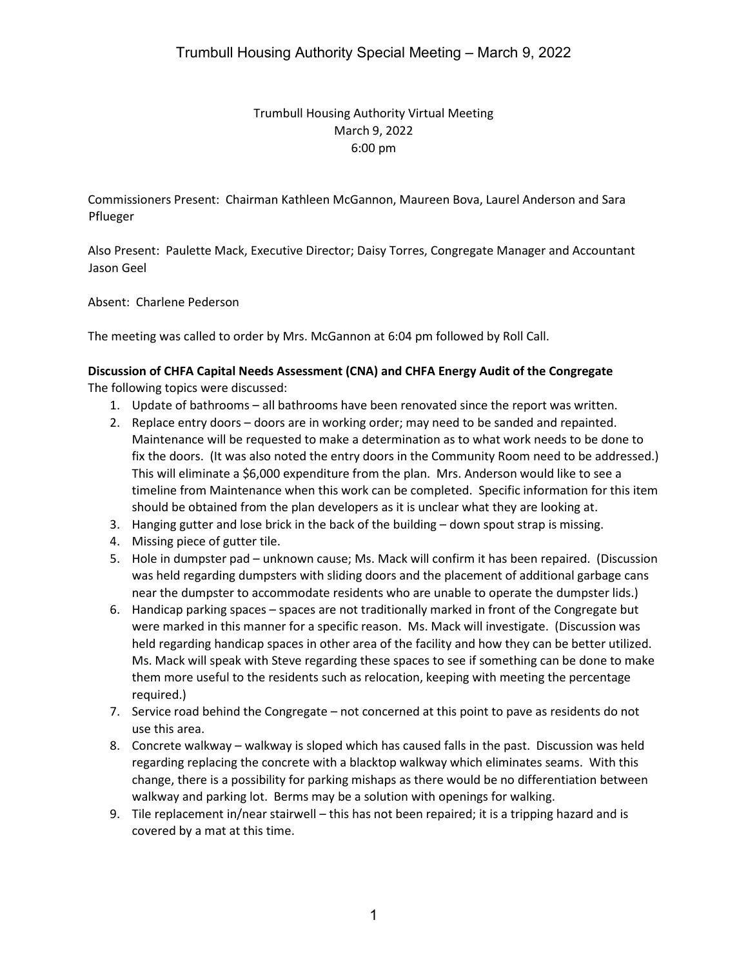# Trumbull Housing Authority Virtual Meeting March 9, 2022 6:00 pm

Commissioners Present: Chairman Kathleen McGannon, Maureen Bova, Laurel Anderson and Sara Pflueger

Also Present: Paulette Mack, Executive Director; Daisy Torres, Congregate Manager and Accountant Jason Geel

Absent: Charlene Pederson

The meeting was called to order by Mrs. McGannon at 6:04 pm followed by Roll Call.

## **Discussion of CHFA Capital Needs Assessment (CNA) and CHFA Energy Audit of the Congregate**

The following topics were discussed:

- 1. Update of bathrooms all bathrooms have been renovated since the report was written.
- 2. Replace entry doors doors are in working order; may need to be sanded and repainted. Maintenance will be requested to make a determination as to what work needs to be done to fix the doors. (It was also noted the entry doors in the Community Room need to be addressed.) This will eliminate a \$6,000 expenditure from the plan. Mrs. Anderson would like to see a timeline from Maintenance when this work can be completed. Specific information for this item should be obtained from the plan developers as it is unclear what they are looking at.
- 3. Hanging gutter and lose brick in the back of the building down spout strap is missing.
- 4. Missing piece of gutter tile.
- 5. Hole in dumpster pad unknown cause; Ms. Mack will confirm it has been repaired. (Discussion was held regarding dumpsters with sliding doors and the placement of additional garbage cans near the dumpster to accommodate residents who are unable to operate the dumpster lids.)
- 6. Handicap parking spaces spaces are not traditionally marked in front of the Congregate but were marked in this manner for a specific reason. Ms. Mack will investigate. (Discussion was held regarding handicap spaces in other area of the facility and how they can be better utilized. Ms. Mack will speak with Steve regarding these spaces to see if something can be done to make them more useful to the residents such as relocation, keeping with meeting the percentage required.)
- 7. Service road behind the Congregate not concerned at this point to pave as residents do not use this area.
- 8. Concrete walkway walkway is sloped which has caused falls in the past. Discussion was held regarding replacing the concrete with a blacktop walkway which eliminates seams. With this change, there is a possibility for parking mishaps as there would be no differentiation between walkway and parking lot. Berms may be a solution with openings for walking.
- 9. Tile replacement in/near stairwell this has not been repaired; it is a tripping hazard and is covered by a mat at this time.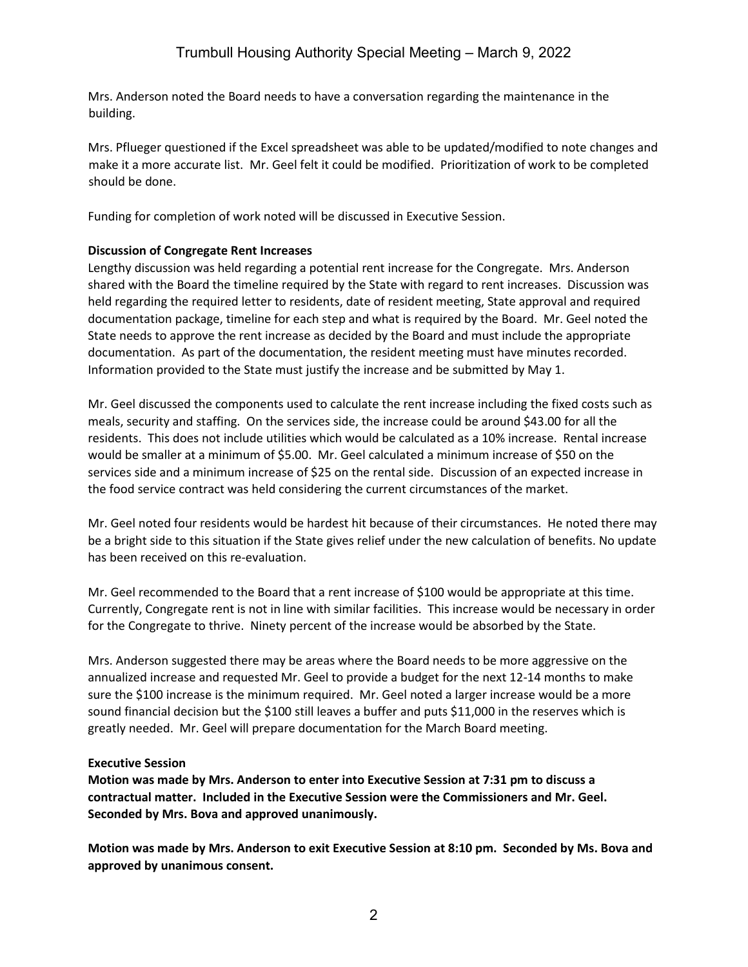Mrs. Anderson noted the Board needs to have a conversation regarding the maintenance in the building.

Mrs. Pflueger questioned if the Excel spreadsheet was able to be updated/modified to note changes and make it a more accurate list. Mr. Geel felt it could be modified. Prioritization of work to be completed should be done.

Funding for completion of work noted will be discussed in Executive Session.

## **Discussion of Congregate Rent Increases**

Lengthy discussion was held regarding a potential rent increase for the Congregate. Mrs. Anderson shared with the Board the timeline required by the State with regard to rent increases. Discussion was held regarding the required letter to residents, date of resident meeting, State approval and required documentation package, timeline for each step and what is required by the Board. Mr. Geel noted the State needs to approve the rent increase as decided by the Board and must include the appropriate documentation. As part of the documentation, the resident meeting must have minutes recorded. Information provided to the State must justify the increase and be submitted by May 1.

Mr. Geel discussed the components used to calculate the rent increase including the fixed costs such as meals, security and staffing. On the services side, the increase could be around \$43.00 for all the residents. This does not include utilities which would be calculated as a 10% increase. Rental increase would be smaller at a minimum of \$5.00. Mr. Geel calculated a minimum increase of \$50 on the services side and a minimum increase of \$25 on the rental side. Discussion of an expected increase in the food service contract was held considering the current circumstances of the market.

Mr. Geel noted four residents would be hardest hit because of their circumstances. He noted there may be a bright side to this situation if the State gives relief under the new calculation of benefits. No update has been received on this re-evaluation.

Mr. Geel recommended to the Board that a rent increase of \$100 would be appropriate at this time. Currently, Congregate rent is not in line with similar facilities. This increase would be necessary in order for the Congregate to thrive. Ninety percent of the increase would be absorbed by the State.

Mrs. Anderson suggested there may be areas where the Board needs to be more aggressive on the annualized increase and requested Mr. Geel to provide a budget for the next 12-14 months to make sure the \$100 increase is the minimum required. Mr. Geel noted a larger increase would be a more sound financial decision but the \$100 still leaves a buffer and puts \$11,000 in the reserves which is greatly needed. Mr. Geel will prepare documentation for the March Board meeting.

## **Executive Session**

**Motion was made by Mrs. Anderson to enter into Executive Session at 7:31 pm to discuss a contractual matter. Included in the Executive Session were the Commissioners and Mr. Geel. Seconded by Mrs. Bova and approved unanimously.**

**Motion was made by Mrs. Anderson to exit Executive Session at 8:10 pm. Seconded by Ms. Bova and approved by unanimous consent.**